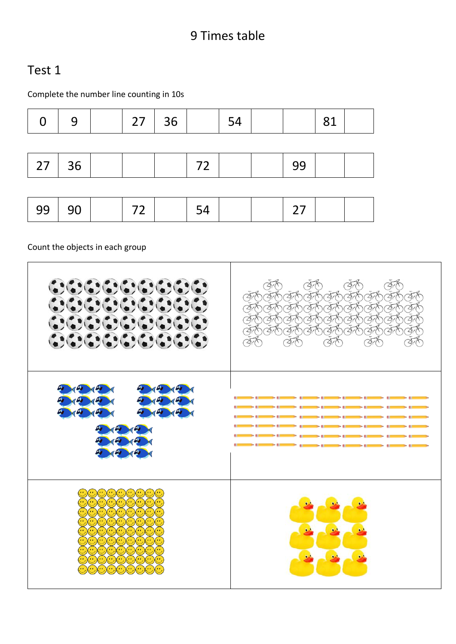# 9 Times table

### Test 1

Complete the number line counting in 10s

| 0  | 9  | 27 | 36 |    | 54 |    | 81 |  |
|----|----|----|----|----|----|----|----|--|
|    |    |    |    |    |    |    |    |  |
| 27 | 36 |    |    | 72 |    | 99 |    |  |
|    |    |    |    |    |    |    |    |  |
| 99 | 90 | 72 |    | 54 |    | 27 |    |  |

Count the objects in each group

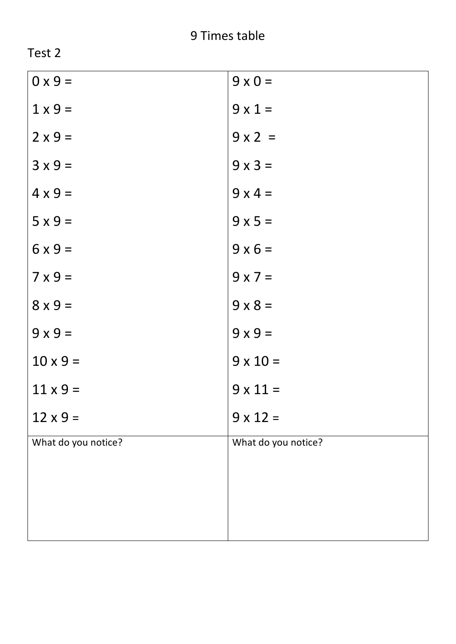| $0 \times 9 =$      | $9 \times 0 =$      |
|---------------------|---------------------|
| $1 \times 9 =$      | $9 \times 1 =$      |
| $2 \times 9 =$      | $9 \times 2 =$      |
| $3x9=$              | $9x3=$              |
| $4 \times 9 =$      | $9x4=$              |
| $5 \times 9 =$      | $9 \times 5 =$      |
| $6x9=$              | $9 \times 6 =$      |
| $7 \times 9 =$      | $9x7=$              |
| $8 \times 9 =$      | $9 \times 8 =$      |
| $9 \times 9 =$      | $9 \times 9 =$      |
| $10 \times 9 =$     | $9 \times 10 =$     |
| $11 \times 9 =$     | $9 \times 11 =$     |
| $12 \times 9 =$     | $9 \times 12 =$     |
| What do you notice? | What do you notice? |
|                     |                     |
|                     |                     |
|                     |                     |
|                     |                     |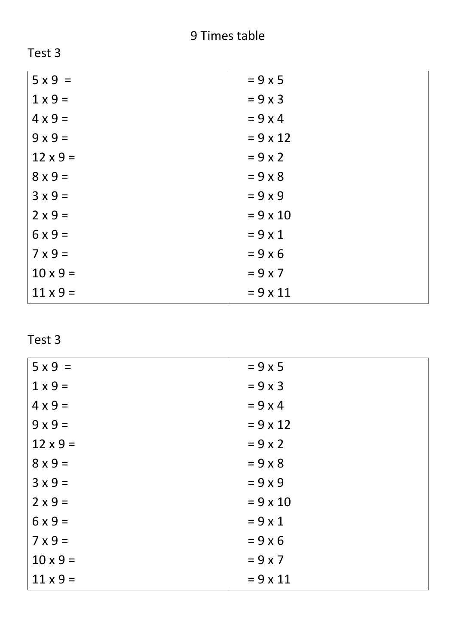| $5 \times 9 =$  | $= 9 \times 5$  |
|-----------------|-----------------|
| $1 \times 9 =$  | $= 9 \times 3$  |
| $4 \times 9 =$  | $= 9 \times 4$  |
| $9x9=$          | $= 9 \times 12$ |
| $12 \times 9 =$ | $= 9 \times 2$  |
| $8 \times 9 =$  | $= 9 \times 8$  |
| $3x9=$          | $= 9 \times 9$  |
| $2 \times 9 =$  | $= 9 \times 10$ |
| $6x9=$          | $= 9 \times 1$  |
| $7 \times 9 =$  | $= 9 \times 6$  |
| $10 \times 9 =$ | $= 9 \times 7$  |
| $11 \times 9 =$ | $= 9 \times 11$ |

| $5 \times 9 =$  | $= 9 \times 5$  |
|-----------------|-----------------|
| $1 \times 9 =$  | $= 9 \times 3$  |
| $4 \times 9 =$  | $= 9 \times 4$  |
| $9x9=$          | $= 9 \times 12$ |
| $12 \times 9 =$ | $= 9 \times 2$  |
| $8 \times 9 =$  | $= 9 \times 8$  |
| $3x9=$          | $= 9 \times 9$  |
| $2 \times 9 =$  | $= 9 \times 10$ |
| $6x9=$          | $= 9 \times 1$  |
| $7 \times 9 =$  | $= 9 \times 6$  |
| $10 \times 9 =$ | $= 9 \times 7$  |
| $11 \times 9 =$ | $= 9 \times 11$ |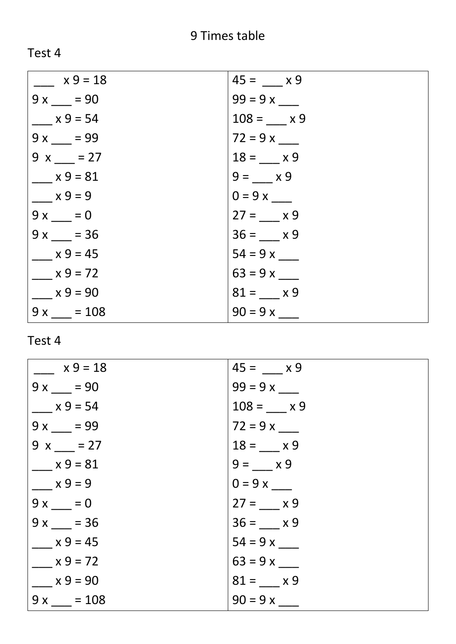| $x 9 = 18$ | $45 = x 9$  |
|------------|-------------|
| $9x = 90$  | $99 = 9x$   |
| $x 9 = 54$ | $108 = x 9$ |
| $9x = 99$  | $72 = 9x$   |
| $9x = 27$  | $18 = x 9$  |
| $x 9 = 81$ | $9 = x 9$   |
| $x 9 = 9$  | $0 = 9x$    |
| $9x = 0$   | $27 = x 9$  |
| $9x = 36$  | $36 = x 9$  |
| $x 9 = 45$ | $54 = 9x$   |
| $x 9 = 72$ |             |
| $x 9 = 90$ | $81 = x9$   |
| $9x = 108$ | $90 = 9x$   |

| $x 9 = 18$ | $45 = x 9$  |
|------------|-------------|
| $9x = 90$  |             |
| $x 9 = 54$ | $108 = x 9$ |
| $9x = 99$  |             |
| $9x = 27$  | $18 = x 9$  |
| $x 9 = 81$ | $9 = x 9$   |
| $x 9 = 9$  | $0 = 9x$    |
| $9x = 0$   | $27 = x 9$  |
| $9x = 36$  | $36 = x 9$  |
| $x 9 = 45$ | $54 = 9x$   |
| $x 9 = 72$ |             |
| $x 9 = 90$ | $81 = x9$   |
| $9x = 108$ | $90 = 9x$   |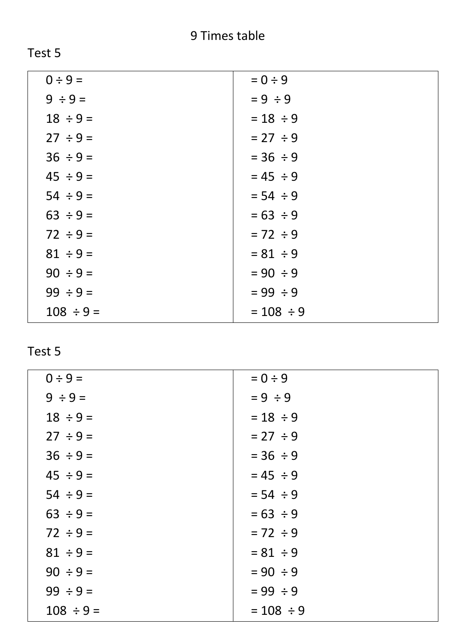| $0 \div 9 =$   | $= 0 \div 9$   |
|----------------|----------------|
| $9 \div 9 =$   | $= 9 \div 9$   |
| $18 \div 9 =$  | $= 18 \div 9$  |
| $27 \div 9 =$  | $= 27 \div 9$  |
| $36 \div 9 =$  | $= 36 \div 9$  |
| $45 \div 9 =$  | $= 45 \div 9$  |
| $54 \div 9 =$  | $= 54 \div 9$  |
| $63 \div 9 =$  | $= 63 \div 9$  |
| $72 \div 9 =$  | $= 72 \div 9$  |
| $81 \div 9 =$  | $= 81 \div 9$  |
| $90 \div 9 =$  | $= 90 \div 9$  |
| $99 \div 9 =$  | $= 99 \div 9$  |
| $108 \div 9 =$ | $= 108 \div 9$ |
|                |                |

| $0 \div 9 =$   | $= 0 \div 9$   |
|----------------|----------------|
| $9 \div 9 =$   | $= 9 \div 9$   |
| $18 \div 9 =$  | $= 18 \div 9$  |
| $27 \div 9 =$  | $= 27 \div 9$  |
| $36 \div 9 =$  | $= 36 \div 9$  |
| $45 \div 9 =$  | $= 45 \div 9$  |
| $54 \div 9 =$  | $= 54 \div 9$  |
| $63 \div 9 =$  | $= 63 \div 9$  |
| $72 \div 9 =$  | $= 72 \div 9$  |
| $81 \div 9 =$  | $= 81 \div 9$  |
| $90 \div 9 =$  | $= 90 \div 9$  |
| $99 \div 9 =$  | $= 99 \div 9$  |
| $108 \div 9 =$ | $= 108 \div 9$ |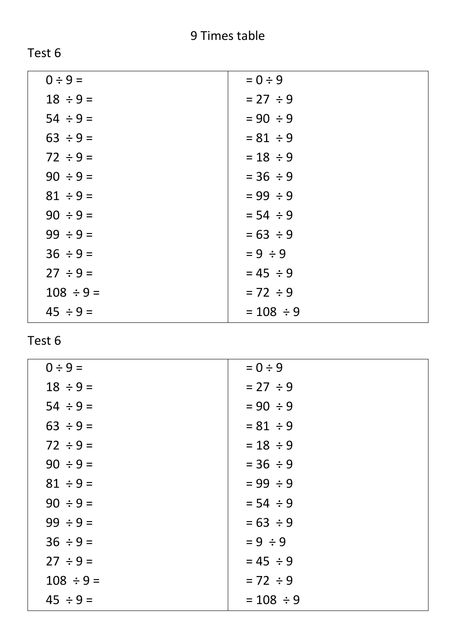| $0 \div 9 =$   | $= 0 \div 9$   |
|----------------|----------------|
| $18 \div 9 =$  | $= 27 \div 9$  |
| $54 \div 9 =$  | $= 90 \div 9$  |
| $63 \div 9 =$  | $= 81 \div 9$  |
| $72 \div 9 =$  | $= 18 \div 9$  |
| $90 \div 9 =$  | $= 36 \div 9$  |
| $81 \div 9 =$  | $= 99 \div 9$  |
| $90 \div 9 =$  | $= 54 \div 9$  |
| $99 \div 9 =$  | $= 63 \div 9$  |
| $36 \div 9 =$  | $= 9 \div 9$   |
| $27 \div 9 =$  | $= 45 \div 9$  |
| $108 \div 9 =$ | $= 72 \div 9$  |
| $45 \div 9 =$  | $= 108 \div 9$ |

| $0 \div 9 =$   | $= 0 \div 9$   |
|----------------|----------------|
| $18 \div 9 =$  | $= 27 \div 9$  |
| $54 \div 9 =$  | $= 90 \div 9$  |
| $63 \div 9 =$  | $= 81 \div 9$  |
| $72 \div 9 =$  | $= 18 \div 9$  |
| $90 \div 9 =$  | $= 36 \div 9$  |
| $81 \div 9 =$  | $= 99 \div 9$  |
| $90 \div 9 =$  | $= 54 \div 9$  |
| $99 \div 9 =$  | $= 63 \div 9$  |
| $36 \div 9 =$  | $= 9 \div 9$   |
| $27 \div 9 =$  | $= 45 \div 9$  |
| $108 \div 9 =$ | $= 72 \div 9$  |
| $45 \div 9 =$  | $= 108 \div 9$ |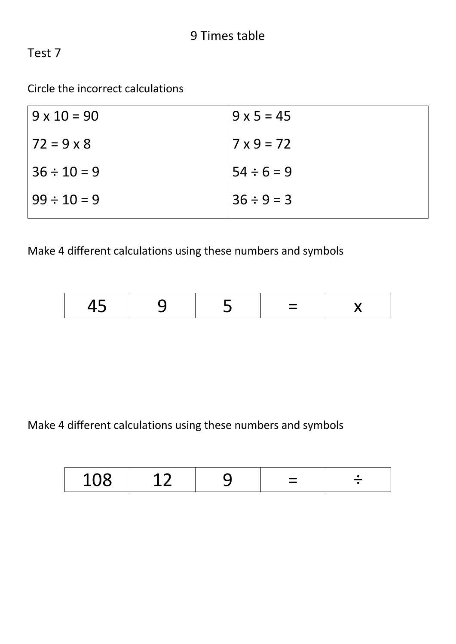Circle the incorrect calculations

| $9 \times 10 = 90$ | $9 \times 5 = 45$ |
|--------------------|-------------------|
| $172 = 9 \times 8$ | $7 \times 9 = 72$ |
| $36 \div 10 = 9$   | $54 \div 6 = 9$   |
| $99 \div 10 = 9$   | $36 \div 9 = 3$   |

Make 4 different calculations using these numbers and symbols

| $\overline{\phantom{a}}$ |  |  |  |
|--------------------------|--|--|--|
|--------------------------|--|--|--|

Make 4 different calculations using these numbers and symbols

| 100<br>ᅩ◡ | $\overline{\phantom{a}}$<br>л<br>___ |  | _ |  |
|-----------|--------------------------------------|--|---|--|
|-----------|--------------------------------------|--|---|--|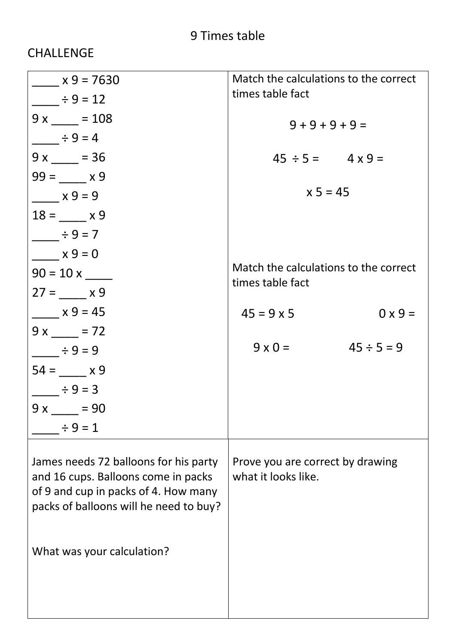# 9 Times table

## CHALLENGE

| $x9 = 7630$                                                                                                                                                    | Match the calculations to the correct<br>times table fact |                 |  |
|----------------------------------------------------------------------------------------------------------------------------------------------------------------|-----------------------------------------------------------|-----------------|--|
| $\div 9 = 12$                                                                                                                                                  |                                                           |                 |  |
| $9x = 108$                                                                                                                                                     | $9 + 9 + 9 + 9 =$                                         |                 |  |
| $\div 9 = 4$                                                                                                                                                   |                                                           |                 |  |
| $9x = 36$                                                                                                                                                      | $45 \div 5 = 4 \times 9 =$                                |                 |  |
| $99 = x 9$                                                                                                                                                     |                                                           |                 |  |
| $x 9 = 9$                                                                                                                                                      | $x 5 = 45$                                                |                 |  |
| $18 = x 9$                                                                                                                                                     |                                                           |                 |  |
| $\div 9 = 7$                                                                                                                                                   |                                                           |                 |  |
| $x 9 = 0$                                                                                                                                                      |                                                           |                 |  |
| $90 = 10 x$                                                                                                                                                    | Match the calculations to the correct                     |                 |  |
| $27 = x 9$                                                                                                                                                     | times table fact                                          |                 |  |
| $x 9 = 45$                                                                                                                                                     | $45 = 9 \times 5$                                         | $0 \times 9 =$  |  |
| $9x = 72$                                                                                                                                                      |                                                           |                 |  |
| $\div 9 = 9$                                                                                                                                                   | $9 \times 0 =$                                            | $45 \div 5 = 9$ |  |
| $54 = x 9$                                                                                                                                                     |                                                           |                 |  |
| $\div 9 = 3$                                                                                                                                                   |                                                           |                 |  |
| $9x = 90$                                                                                                                                                      |                                                           |                 |  |
| $\div 9 = 1$                                                                                                                                                   |                                                           |                 |  |
| James needs 72 balloons for his party<br>and 16 cups. Balloons come in packs<br>of 9 and cup in packs of 4. How many<br>packs of balloons will he need to buy? | Prove you are correct by drawing<br>what it looks like.   |                 |  |
| What was your calculation?                                                                                                                                     |                                                           |                 |  |